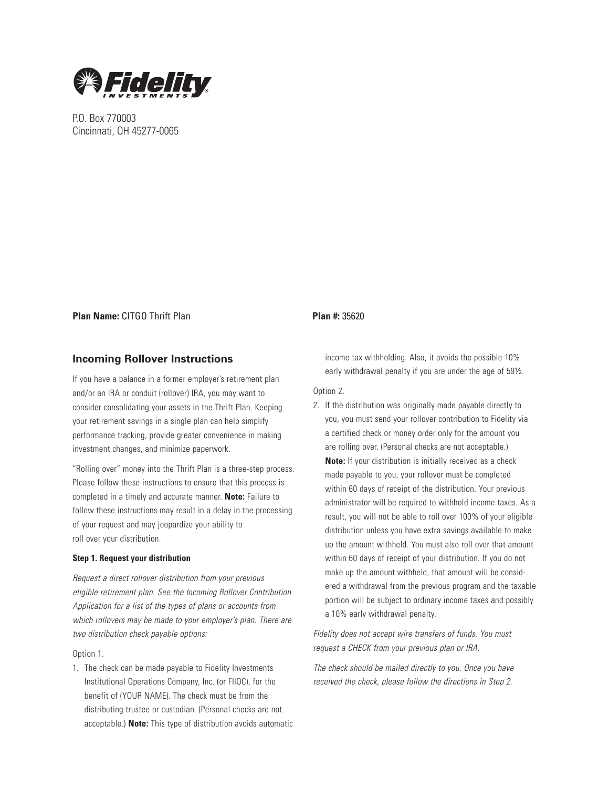

P.O. Box 770003 Cincinnati, OH 45277-0065

## **Plan Name:** CITGO Thrift Plan **Plan #:** 35620

# **Incoming Rollover Instructions**

If you have a balance in a former employer's retirement plan and/or an IRA or conduit (rollover) IRA, you may want to consider consolidating your assets in the Thrift Plan. Keeping your retirement savings in a single plan can help simplify performance tracking, provide greater convenience in making investment changes, and minimize paperwork.

"Rolling over" money into the Thrift Plan is a three-step process. Please follow these instructions to ensure that this process is completed in a timely and accurate manner. **Note:** Failure to follow these instructions may result in a delay in the processing of your request and may jeopardize your ability to roll over your distribution.

## **Step 1. Request your distribution**

Request a direct rollover distribution from your previous eligible retirement plan. See the Incoming Rollover Contribution Application for a list of the types of plans or accounts from which rollovers may be made to your employer's plan. There are two distribution check payable options:

## Option 1.

1. The check can be made payable to Fidelity Investments Institutional Operations Company, Inc. (or FIIOC), for the benefit of (YOUR NAME). The check must be from the distributing trustee or custodian. (Personal checks are not acceptable.) **Note:** This type of distribution avoids automatic

income tax withholding. Also, it avoids the possible 10% early withdrawal penalty if you are under the age of 59½.

#### Option 2.

2. If the distribution was originally made payable directly to you, you must send your rollover contribution to Fidelity via a certified check or money order only for the amount you are rolling over. (Personal checks are not acceptable.) **Note:** If your distribution is initially received as a check made payable to you, your rollover must be completed within 60 days of receipt of the distribution. Your previous administrator will be required to withhold income taxes. As a result, you will not be able to roll over 100% of your eligible distribution unless you have extra savings available to make up the amount withheld. You must also roll over that amount within 60 days of receipt of your distribution. If you do not make up the amount withheld, that amount will be considered a withdrawal from the previous program and the taxable portion will be subject to ordinary income taxes and possibly a 10% early withdrawal penalty.

Fidelity does not accept wire transfers of funds. You must request a CHECK from your previous plan or IRA.

The check should be mailed directly to you. Once you have received the check, please follow the directions in Step 2.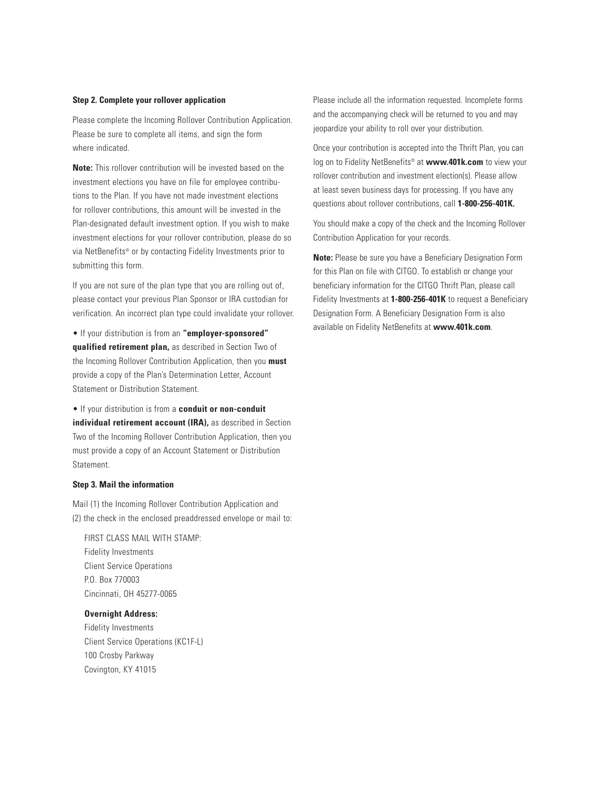## **Step 2. Complete your rollover application**

Please complete the Incoming Rollover Contribution Application. Please be sure to complete all items, and sign the form where indicated.

**Note:** This rollover contribution will be invested based on the investment elections you have on file for employee contributions to the Plan. If you have not made investment elections for rollover contributions, this amount will be invested in the Plan-designated default investment option. If you wish to make investment elections for your rollover contribution, please do so via NetBenefits® or by contacting Fidelity Investments prior to submitting this form.

If you are not sure of the plan type that you are rolling out of, please contact your previous Plan Sponsor or IRA custodian for verification. An incorrect plan type could invalidate your rollover.

• If your distribution is from an **"employer-sponsored" qualified retirement plan,** as described in Section Two of the Incoming Rollover Contribution Application, then you **must** provide a copy of the Plan's Determination Letter, Account Statement or Distribution Statement.

## • If your distribution is from a **conduit or non-conduit**

**individual retirement account (IRA),** as described in Section Two of the Incoming Rollover Contribution Application, then you must provide a copy of an Account Statement or Distribution Statement.

## **Step 3. Mail the information**

Mail (1) the Incoming Rollover Contribution Application and (2) the check in the enclosed preaddressed envelope or mail to:

FIRST CLASS MAIL WITH STAMP: Fidelity Investments Client Service Operations P.O. Box 770003 Cincinnati, OH 45277-0065

## **Overnight Address:**

 Fidelity Investments Client Service Operations (KC1F-L) 100 Crosby Parkway Covington, KY 41015

Please include all the information requested. Incomplete forms and the accompanying check will be returned to you and may jeopardize your ability to roll over your distribution.

Once your contribution is accepted into the Thrift Plan, you can log on to Fidelity NetBenefits® at **www.401k.com** to view your rollover contribution and investment election(s). Please allow at least seven business days for processing. If you have any questions about rollover contributions, call **1-800-256-401K.**

You should make a copy of the check and the Incoming Rollover Contribution Application for your records.

**Note:** Please be sure you have a Beneficiary Designation Form for this Plan on file with CITGO. To establish or change your beneficiary information for the CITGO Thrift Plan, please call Fidelity Investments at **1-800-256-401K** to request a Beneficiary Designation Form. A Beneficiary Designation Form is also available on Fidelity NetBenefits at **www.401k.com**.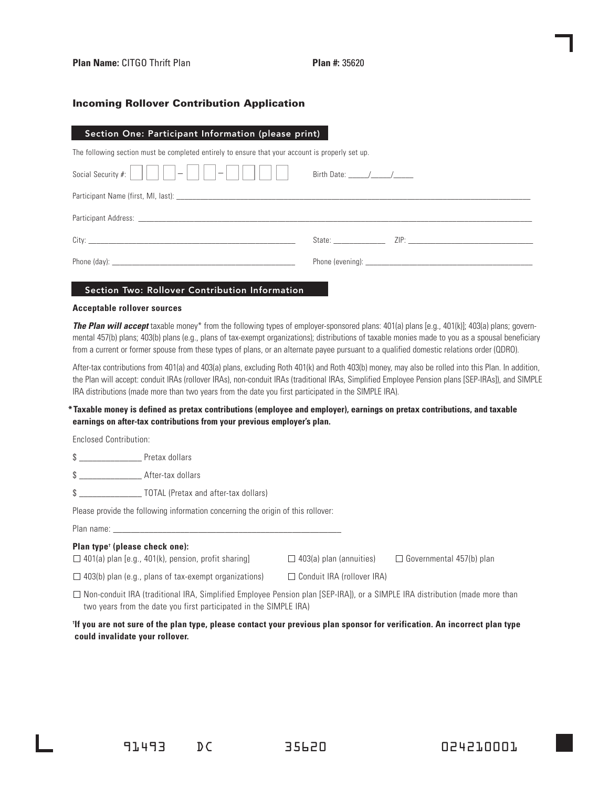# Incoming Rollover Contribution Application

## Section One: Participant Information (please print)

The following section must be completed entirely to ensure that your account is properly set up.

| $        -   -  $<br>$\vert - \vert$ | Birth Date: $\frac{1}{\sqrt{1-\frac{1}{2}}}\left  \frac{1}{\sqrt{1-\frac{1}{2}}}\right $                                                                                                                                                                 |
|--------------------------------------|----------------------------------------------------------------------------------------------------------------------------------------------------------------------------------------------------------------------------------------------------------|
|                                      |                                                                                                                                                                                                                                                          |
|                                      |                                                                                                                                                                                                                                                          |
|                                      | State: The State of the State of the State of the State of the State of the State of the State of the State of the State of the State of the State of the State of the State of the State of the State of the State of the Sta<br>$ZIP:$ $\qquad \qquad$ |
|                                      | Phone (evening): example and a series of the series of the series of the series of the series of the series of the series of the series of the series of the series of the series of the series of the series of the series of                           |

# Section Two: Rollover Contribution Information

#### **Acceptable rollover sources**

**The Plan will accept** taxable money\* from the following types of employer-sponsored plans: 401(a) plans [e.g., 401(k)]; 403(a) plans; governmental 457(b) plans; 403(b) plans (e.g., plans of tax-exempt organizations); distributions of taxable monies made to you as a spousal beneficiary from a current or former spouse from these types of plans, or an alternate payee pursuant to a qualified domestic relations order (QDRO).

After-tax contributions from 401(a) and 403(a) plans, excluding Roth 401(k) and Roth 403(b) money, may also be rolled into this Plan. In addition, the Plan will accept: conduit IRAs (rollover IRAs), non-conduit IRAs (traditional IRAs, Simplified Employee Pension plans [SEP-IRAs]), and SIMPLE IRA distributions (made more than two years from the date you first participated in the SIMPLE IRA).

# **\*Taxable money is defined as pretax contributions (employee and employer), earnings on pretax contributions, and taxable earnings on after-tax contributions from your previous employer's plan.**

Enclosed Contribution:

\$ \_\_\_\_\_\_\_\_\_\_\_\_\_\_ Pretax dollars

\$ \_\_\_\_\_\_\_\_\_\_\_\_\_\_ After-tax dollars

\$ \_\_\_\_\_\_\_\_\_\_\_\_\_\_ TOTAL (Pretax and after-tax dollars)

Please provide the following information concerning the origin of this rollover:

Plan name: \_\_\_\_\_\_\_\_\_\_\_\_\_\_\_\_\_\_\_\_\_\_\_\_\_\_\_\_\_\_\_\_\_\_\_\_\_\_\_\_\_\_\_\_\_\_\_\_\_\_\_

#### **Plan type† (please check one):**

 $\Box$  401(a) plan [e.g., 401(k), pension, profit sharing]  $\Box$  403(a) plan (annuities)  $\Box$  Governmental 457(b) plan

 $\Box$  403(b) plan (e.g., plans of tax-exempt organizations)  $\Box$  Conduit IRA (rollover IRA)

 $\Box$  Non-conduit IRA (traditional IRA, Simplified Employee Pension plan [SEP-IRA]), or a SIMPLE IRA distribution (made more than two years from the date you first participated in the SIMPLE IRA)

## **† If you are not sure of the plan type, please contact your previous plan sponsor for verification. An incorrect plan type could invalidate your rollover.**